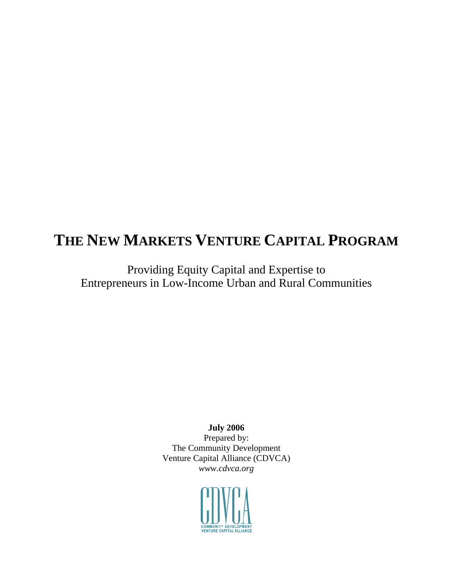# **THE NEW MARKETS VENTURE CAPITAL PROGRAM**

Providing Equity Capital and Expertise to Entrepreneurs in Low-Income Urban and Rural Communities

**July 2006** 

Prepared by: The Community Development Venture Capital Alliance (CDVCA) *www.cdvca.org*

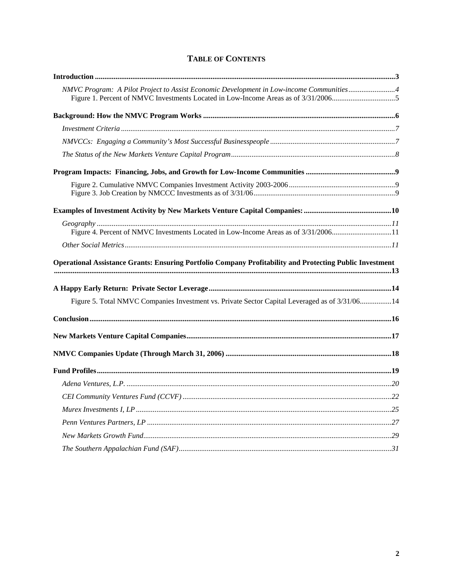| NMVC Program: A Pilot Project to Assist Economic Development in Low-income Communities4                         |  |
|-----------------------------------------------------------------------------------------------------------------|--|
|                                                                                                                 |  |
|                                                                                                                 |  |
|                                                                                                                 |  |
|                                                                                                                 |  |
|                                                                                                                 |  |
|                                                                                                                 |  |
|                                                                                                                 |  |
|                                                                                                                 |  |
| Figure 4. Percent of NMVC Investments Located in Low-Income Areas as of 3/31/200611                             |  |
|                                                                                                                 |  |
| <b>Operational Assistance Grants: Ensuring Portfolio Company Profitability and Protecting Public Investment</b> |  |
| Figure 5. Total NMVC Companies Investment vs. Private Sector Capital Leveraged as of 3/31/0614                  |  |
|                                                                                                                 |  |
|                                                                                                                 |  |
|                                                                                                                 |  |
|                                                                                                                 |  |
|                                                                                                                 |  |
|                                                                                                                 |  |
|                                                                                                                 |  |
|                                                                                                                 |  |
|                                                                                                                 |  |
|                                                                                                                 |  |

### **TABLE OF CONTENTS**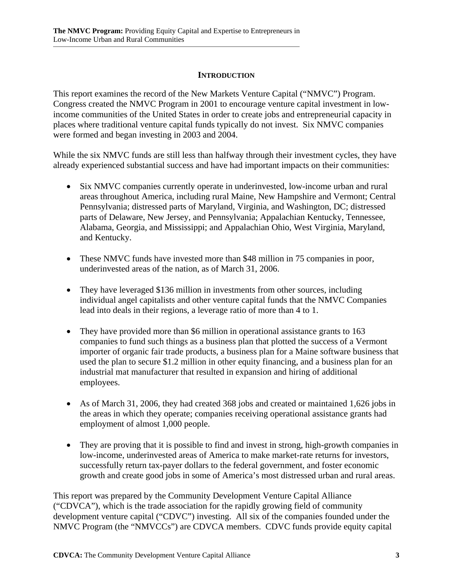#### **INTRODUCTION**

This report examines the record of the New Markets Venture Capital ("NMVC") Program. Congress created the NMVC Program in 2001 to encourage venture capital investment in lowincome communities of the United States in order to create jobs and entrepreneurial capacity in places where traditional venture capital funds typically do not invest. Six NMVC companies were formed and began investing in 2003 and 2004.

While the six NMVC funds are still less than halfway through their investment cycles, they have already experienced substantial success and have had important impacts on their communities:

- Six NMVC companies currently operate in underinvested, low-income urban and rural areas throughout America, including rural Maine, New Hampshire and Vermont; Central Pennsylvania; distressed parts of Maryland, Virginia, and Washington, DC; distressed parts of Delaware, New Jersey, and Pennsylvania; Appalachian Kentucky, Tennessee, Alabama, Georgia, and Mississippi; and Appalachian Ohio, West Virginia, Maryland, and Kentucky.
- These NMVC funds have invested more than \$48 million in 75 companies in poor, underinvested areas of the nation, as of March 31, 2006.
- They have leveraged \$136 million in investments from other sources, including individual angel capitalists and other venture capital funds that the NMVC Companies lead into deals in their regions, a leverage ratio of more than 4 to 1.
- They have provided more than \$6 million in operational assistance grants to 163 companies to fund such things as a business plan that plotted the success of a Vermont importer of organic fair trade products, a business plan for a Maine software business that used the plan to secure \$1.2 million in other equity financing, and a business plan for an industrial mat manufacturer that resulted in expansion and hiring of additional employees.
- As of March 31, 2006, they had created 368 jobs and created or maintained 1,626 jobs in the areas in which they operate; companies receiving operational assistance grants had employment of almost 1,000 people.
- They are proving that it is possible to find and invest in strong, high-growth companies in low-income, underinvested areas of America to make market-rate returns for investors, successfully return tax-payer dollars to the federal government, and foster economic growth and create good jobs in some of America's most distressed urban and rural areas.

This report was prepared by the Community Development Venture Capital Alliance ("CDVCA"), which is the trade association for the rapidly growing field of community development venture capital ("CDVC") investing. All six of the companies founded under the NMVC Program (the "NMVCCs") are CDVCA members. CDVC funds provide equity capital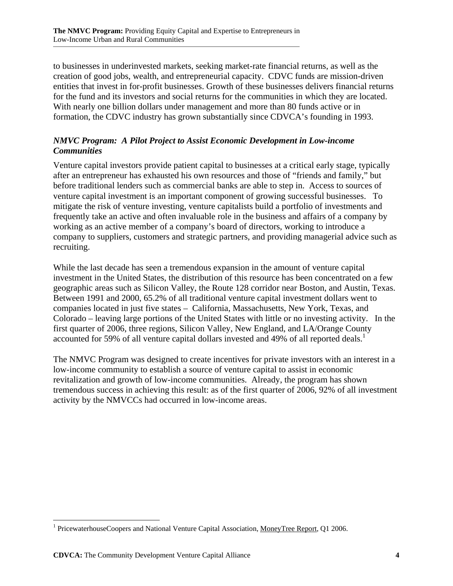to businesses in underinvested markets, seeking market-rate financial returns, as well as the creation of good jobs, wealth, and entrepreneurial capacity. CDVC funds are mission-driven entities that invest in for-profit businesses. Growth of these businesses delivers financial returns for the fund and its investors and social returns for the communities in which they are located. With nearly one billion dollars under management and more than 80 funds active or in formation, the CDVC industry has grown substantially since CDVCA's founding in 1993.

#### *NMVC Program: A Pilot Project to Assist Economic Development in Low-income Communities*

Venture capital investors provide patient capital to businesses at a critical early stage, typically after an entrepreneur has exhausted his own resources and those of "friends and family," but before traditional lenders such as commercial banks are able to step in. Access to sources of venture capital investment is an important component of growing successful businesses. To mitigate the risk of venture investing, venture capitalists build a portfolio of investments and frequently take an active and often invaluable role in the business and affairs of a company by working as an active member of a company's board of directors, working to introduce a company to suppliers, customers and strategic partners, and providing managerial advice such as recruiting.

While the last decade has seen a tremendous expansion in the amount of venture capital investment in the United States, the distribution of this resource has been concentrated on a few geographic areas such as Silicon Valley, the Route 128 corridor near Boston, and Austin, Texas. Between 1991 and 2000, 65.2% of all traditional venture capital investment dollars went to companies located in just five states – California, Massachusetts, New York, Texas, and Colorado – leaving large portions of the United States with little or no investing activity. In the first quarter of 2006, three regions, Silicon Valley, New England, and LA/Orange County accounted for 59% of all venture capital dollars invested and 49% of all reported deals.<sup>1</sup>

The NMVC Program was designed to create incentives for private investors with an interest in a low-income community to establish a source of venture capital to assist in economic revitalization and growth of low-income communities. Already, the program has shown tremendous success in achieving this result: as of the first quarter of 2006, 92% of all investment activity by the NMVCCs had occurred in low-income areas.

<u>.</u>

<sup>&</sup>lt;sup>1</sup> PricewaterhouseCoopers and National Venture Capital Association, MoneyTree Report, Q1 2006.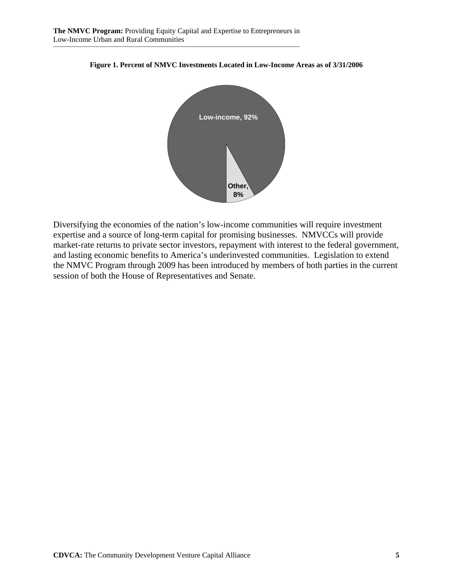



Diversifying the economies of the nation's low-income communities will require investment expertise and a source of long-term capital for promising businesses. NMVCCs will provide market-rate returns to private sector investors, repayment with interest to the federal government, and lasting economic benefits to America's underinvested communities. Legislation to extend the NMVC Program through 2009 has been introduced by members of both parties in the current session of both the House of Representatives and Senate.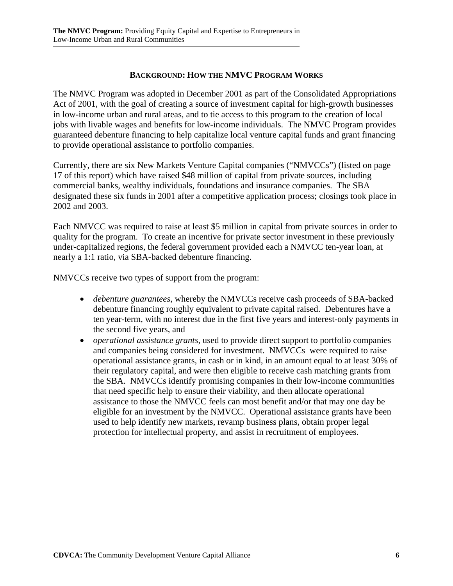#### **BACKGROUND: HOW THE NMVC PROGRAM WORKS**

The NMVC Program was adopted in December 2001 as part of the Consolidated Appropriations Act of 2001, with the goal of creating a source of investment capital for high-growth businesses in low-income urban and rural areas, and to tie access to this program to the creation of local jobs with livable wages and benefits for low-income individuals. The NMVC Program provides guaranteed debenture financing to help capitalize local venture capital funds and grant financing to provide operational assistance to portfolio companies.

Currently, there are six New Markets Venture Capital companies ("NMVCCs") (listed on page 17 of this report) which have raised \$48 million of capital from private sources, including commercial banks, wealthy individuals, foundations and insurance companies. The SBA designated these six funds in 2001 after a competitive application process; closings took place in 2002 and 2003.

Each NMVCC was required to raise at least \$5 million in capital from private sources in order to quality for the program. To create an incentive for private sector investment in these previously under-capitalized regions, the federal government provided each a NMVCC ten-year loan, at nearly a 1:1 ratio, via SBA-backed debenture financing.

NMVCCs receive two types of support from the program:

- *debenture guarantees*, whereby the NMVCCs receive cash proceeds of SBA-backed debenture financing roughly equivalent to private capital raised. Debentures have a ten year-term, with no interest due in the first five years and interest-only payments in the second five years, and
- *operational assistance grants*, used to provide direct support to portfolio companies and companies being considered for investment. NMVCCs were required to raise operational assistance grants, in cash or in kind, in an amount equal to at least 30% of their regulatory capital, and were then eligible to receive cash matching grants from the SBA. NMVCCs identify promising companies in their low-income communities that need specific help to ensure their viability, and then allocate operational assistance to those the NMVCC feels can most benefit and/or that may one day be eligible for an investment by the NMVCC. Operational assistance grants have been used to help identify new markets, revamp business plans, obtain proper legal protection for intellectual property, and assist in recruitment of employees.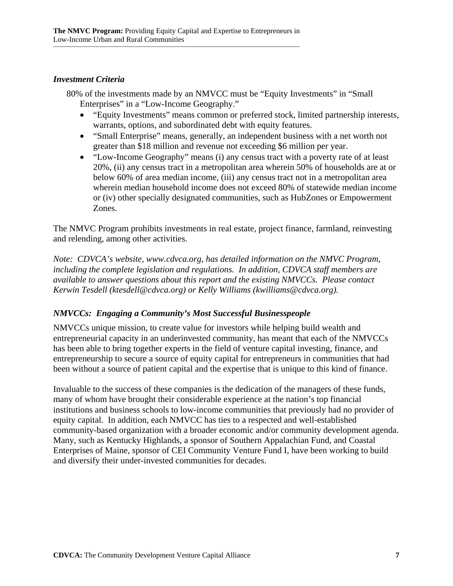#### *Investment Criteria*

80% of the investments made by an NMVCC must be "Equity Investments" in "Small Enterprises" in a "Low-Income Geography."

- "Equity Investments" means common or preferred stock, limited partnership interests, warrants, options, and subordinated debt with equity features.
- "Small Enterprise" means, generally, an independent business with a net worth not greater than \$18 million and revenue not exceeding \$6 million per year.
- "Low-Income Geography" means (i) any census tract with a poverty rate of at least 20%, (ii) any census tract in a metropolitan area wherein 50% of households are at or below 60% of area median income, (iii) any census tract not in a metropolitan area wherein median household income does not exceed 80% of statewide median income or (iv) other specially designated communities, such as HubZones or Empowerment Zones.

The NMVC Program prohibits investments in real estate, project finance, farmland, reinvesting and relending, among other activities.

*Note: CDVCA's website, www.cdvca.org, has detailed information on the NMVC Program, including the complete legislation and regulations. In addition, CDVCA staff members are available to answer questions about this report and the existing NMVCCs. Please contact Kerwin Tesdell (ktesdell@cdvca.org) or Kelly Williams (kwilliams@cdvca.org).* 

#### *NMVCCs: Engaging a Community's Most Successful Businesspeople*

NMVCCs unique mission, to create value for investors while helping build wealth and entrepreneurial capacity in an underinvested community, has meant that each of the NMVCCs has been able to bring together experts in the field of venture capital investing, finance, and entrepreneurship to secure a source of equity capital for entrepreneurs in communities that had been without a source of patient capital and the expertise that is unique to this kind of finance.

Invaluable to the success of these companies is the dedication of the managers of these funds, many of whom have brought their considerable experience at the nation's top financial institutions and business schools to low-income communities that previously had no provider of equity capital. In addition, each NMVCC has ties to a respected and well-established community-based organization with a broader economic and/or community development agenda. Many, such as Kentucky Highlands, a sponsor of Southern Appalachian Fund, and Coastal Enterprises of Maine, sponsor of CEI Community Venture Fund I, have been working to build and diversify their under-invested communities for decades.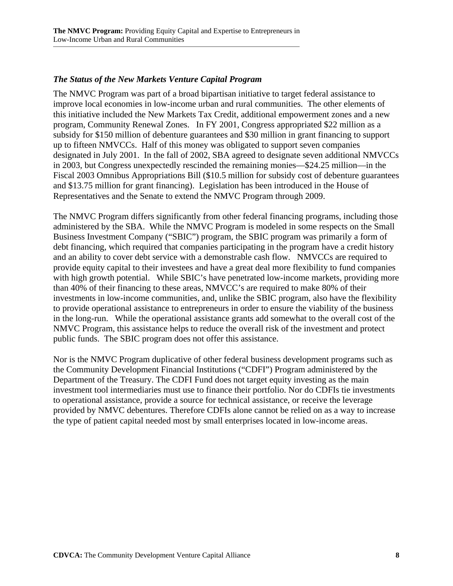#### *The Status of the New Markets Venture Capital Program*

The NMVC Program was part of a broad bipartisan initiative to target federal assistance to improve local economies in low-income urban and rural communities. The other elements of this initiative included the New Markets Tax Credit, additional empowerment zones and a new program, Community Renewal Zones. In FY 2001, Congress appropriated \$22 million as a subsidy for \$150 million of debenture guarantees and \$30 million in grant financing to support up to fifteen NMVCCs. Half of this money was obligated to support seven companies designated in July 2001. In the fall of 2002, SBA agreed to designate seven additional NMVCCs in 2003, but Congress unexpectedly rescinded the remaining monies—\$24.25 million—in the Fiscal 2003 Omnibus Appropriations Bill (\$10.5 million for subsidy cost of debenture guarantees and \$13.75 million for grant financing). Legislation has been introduced in the House of Representatives and the Senate to extend the NMVC Program through 2009.

The NMVC Program differs significantly from other federal financing programs, including those administered by the SBA. While the NMVC Program is modeled in some respects on the Small Business Investment Company ("SBIC") program, the SBIC program was primarily a form of debt financing, which required that companies participating in the program have a credit history and an ability to cover debt service with a demonstrable cash flow. NMVCCs are required to provide equity capital to their investees and have a great deal more flexibility to fund companies with high growth potential. While SBIC's have penetrated low-income markets, providing more than 40% of their financing to these areas, NMVCC's are required to make 80% of their investments in low-income communities, and, unlike the SBIC program, also have the flexibility to provide operational assistance to entrepreneurs in order to ensure the viability of the business in the long-run. While the operational assistance grants add somewhat to the overall cost of the NMVC Program, this assistance helps to reduce the overall risk of the investment and protect public funds. The SBIC program does not offer this assistance.

Nor is the NMVC Program duplicative of other federal business development programs such as the Community Development Financial Institutions ("CDFI") Program administered by the Department of the Treasury. The CDFI Fund does not target equity investing as the main investment tool intermediaries must use to finance their portfolio. Nor do CDFIs tie investments to operational assistance, provide a source for technical assistance, or receive the leverage provided by NMVC debentures. Therefore CDFIs alone cannot be relied on as a way to increase the type of patient capital needed most by small enterprises located in low-income areas.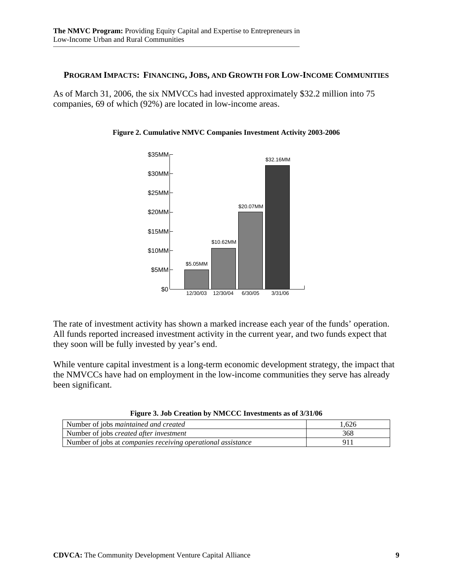#### **PROGRAM IMPACTS: FINANCING, JOBS, AND GROWTH FOR LOW-INCOME COMMUNITIES**

As of March 31, 2006, the six NMVCCs had invested approximately \$32.2 million into 75 companies, 69 of which (92%) are located in low-income areas.





The rate of investment activity has shown a marked increase each year of the funds' operation. All funds reported increased investment activity in the current year, and two funds expect that they soon will be fully invested by year's end.

While venture capital investment is a long-term economic development strategy, the impact that the NMVCCs have had on employment in the low-income communities they serve has already been significant.

| Number of jobs <i>maintained and created</i>                        | 1.626 |
|---------------------------------------------------------------------|-------|
| Number of jobs <i>created after investment</i>                      | 368   |
| Number of jobs at <i>companies receiving operational assistance</i> | Ο1    |

| Figure 3. Job Creation by NMCCC Investments as of 3/31/06 |  |  |  |
|-----------------------------------------------------------|--|--|--|
|                                                           |  |  |  |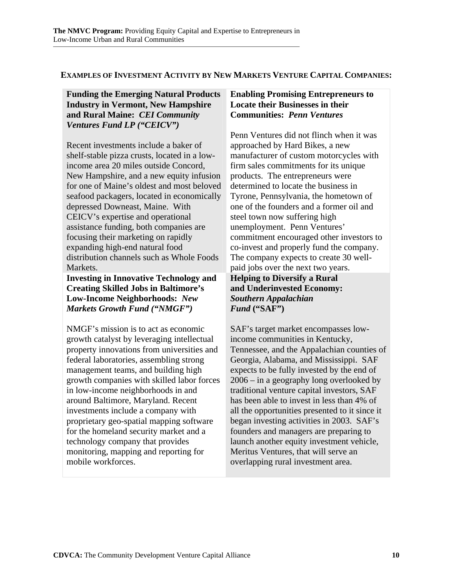#### **EXAMPLES OF INVESTMENT ACTIVITY BY NEW MARKETS VENTURE CAPITAL COMPANIES:**

**Funding the Emerging Natural Products Industry in Vermont, New Hampshire and Rural Maine:** *CEI Community Ventures Fund LP ("CEICV")* 

Recent investments include a baker of shelf-stable pizza crusts, located in a lowincome area 20 miles outside Concord, New Hampshire, and a new equity infusion for one of Maine's oldest and most beloved seafood packagers, located in economically depressed Downeast, Maine. With CEICV's expertise and operational assistance funding, both companies are focusing their marketing on rapidly expanding high-end natural food distribution channels such as Whole Foods Markets.

**Investing in Innovative Technology and Creating Skilled Jobs in Baltimore's Low-Income Neighborhoods:** *New Markets Growth Fund ("NMGF")* 

NMGF's mission is to act as economic growth catalyst by leveraging intellectual property innovations from universities and federal laboratories, assembling strong management teams, and building high growth companies with skilled labor forces in low-income neighborhoods in and around Baltimore, Maryland. Recent investments include a company with proprietary geo-spatial mapping software for the homeland security market and a technology company that provides monitoring, mapping and reporting for mobile workforces.

#### **Enabling Promising Entrepreneurs to Locate their Businesses in their Communities:** *Penn Ventures*

Penn Ventures did not flinch when it was approached by Hard Bikes, a new manufacturer of custom motorcycles with firm sales commitments for its unique products. The entrepreneurs were determined to locate the business in Tyrone, Pennsylvania, the hometown of one of the founders and a former oil and steel town now suffering high unemployment. Penn Ventures' commitment encouraged other investors to co-invest and properly fund the company. The company expects to create 30 wellpaid jobs over the next two years. **Helping to Diversify a Rural and Underinvested Economy:**  *Southern Appalachian Fund* **("SAF")** 

SAF's target market encompasses lowincome communities in Kentucky, Tennessee, and the Appalachian counties of Georgia, Alabama, and Mississippi. SAF expects to be fully invested by the end of 2006 – in a geography long overlooked by traditional venture capital investors, SAF has been able to invest in less than 4% of all the opportunities presented to it since it began investing activities in 2003. SAF's founders and managers are preparing to launch another equity investment vehicle, Meritus Ventures, that will serve an overlapping rural investment area.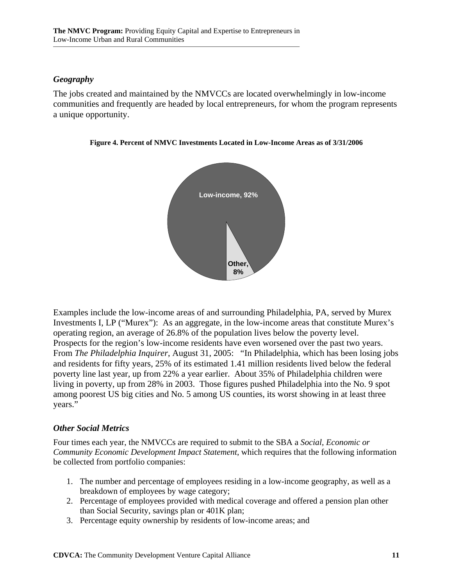#### *Geography*

The jobs created and maintained by the NMVCCs are located overwhelmingly in low-income communities and frequently are headed by local entrepreneurs, for whom the program represents a unique opportunity.



**Figure 4. Percent of NMVC Investments Located in Low-Income Areas as of 3/31/2006** 

Examples include the low-income areas of and surrounding Philadelphia, PA, served by Murex Investments I, LP ("Murex"): As an aggregate, in the low-income areas that constitute Murex's operating region, an average of 26.8% of the population lives below the poverty level. Prospects for the region's low-income residents have even worsened over the past two years. From *The Philadelphia Inquirer*, August 31, 2005: "In Philadelphia, which has been losing jobs and residents for fifty years, 25% of its estimated 1.41 million residents lived below the federal poverty line last year, up from 22% a year earlier. About 35% of Philadelphia children were living in poverty, up from 28% in 2003. Those figures pushed Philadelphia into the No. 9 spot among poorest US big cities and No. 5 among US counties, its worst showing in at least three years."

#### *Other Social Metrics*

Four times each year, the NMVCCs are required to submit to the SBA a *Social, Economic or Community Economic Development Impact Statement*, which requires that the following information be collected from portfolio companies:

- 1. The number and percentage of employees residing in a low-income geography, as well as a breakdown of employees by wage category;
- 2. Percentage of employees provided with medical coverage and offered a pension plan other than Social Security, savings plan or 401K plan;
- 3. Percentage equity ownership by residents of low-income areas; and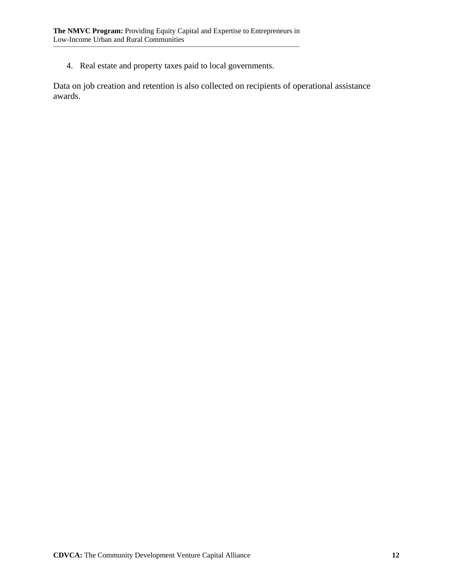4. Real estate and property taxes paid to local governments.

Data on job creation and retention is also collected on recipients of operational assistance awards.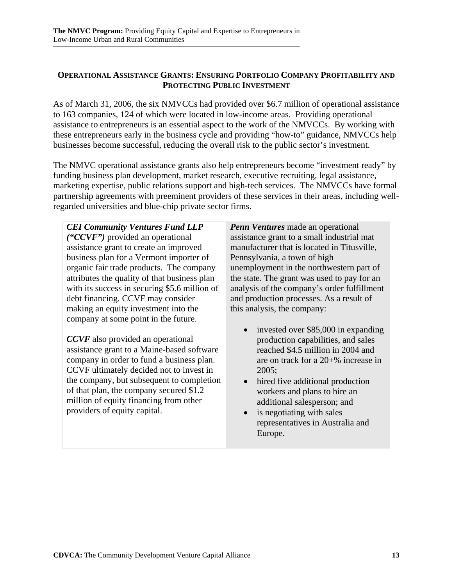#### **OPERATIONAL ASSISTANCE GRANTS: ENSURING PORTFOLIO COMPANY PROFITABILITY AND PROTECTING PUBLIC INVESTMENT**

As of March 31, 2006, the six NMVCCs had provided over \$6.7 million of operational assistance to 163 companies, 124 of which were located in low-income areas. Providing operational assistance to entrepreneurs is an essential aspect to the work of the NMVCCs. By working with these entrepreneurs early in the business cycle and providing "how-to" guidance, NMVCCs help businesses become successful, reducing the overall risk to the public sector's investment.

The NMVC operational assistance grants also help entrepreneurs become "investment ready" by funding business plan development, market research, executive recruiting, legal assistance, marketing expertise, public relations support and high-tech services. The NMVCCs have formal partnership agreements with preeminent providers of these services in their areas, including wellregarded universities and blue-chip private sector firms.

*CEI Community Ventures Fund LLP ("CCVF")* provided an operational assistance grant to create an improved business plan for a Vermont importer of organic fair trade products. The company attributes the quality of that business plan with its success in securing \$5.6 million of debt financing. CCVF may consider making an equity investment into the company at some point in the future.

*CCVF* also provided an operational assistance grant to a Maine-based software company in order to fund a business plan. CCVF ultimately decided not to invest in the company, but subsequent to completion of that plan, the company secured \$1.2 million of equity financing from other providers of equity capital.

*Penn Ventures* made an operational assistance grant to a small industrial mat manufacturer that is located in Titusville, Pennsylvania, a town of high unemployment in the northwestern part of the state. The grant was used to pay for an analysis of the company's order fulfillment and production processes. As a result of this analysis, the company:

- invested over \$85,000 in expanding production capabilities, and sales reached \$4.5 million in 2004 and are on track for a 20+% increase in 2005;
- hired five additional production workers and plans to hire an additional salesperson; and
- is negotiating with sales representatives in Australia and Europe.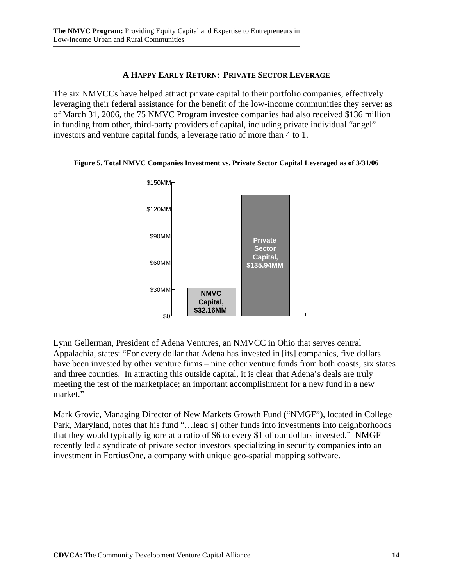#### **A HAPPY EARLY RETURN: PRIVATE SECTOR LEVERAGE**

The six NMVCCs have helped attract private capital to their portfolio companies, effectively leveraging their federal assistance for the benefit of the low-income communities they serve: as of March 31, 2006, the 75 NMVC Program investee companies had also received \$136 million in funding from other, third-party providers of capital, including private individual "angel" investors and venture capital funds, a leverage ratio of more than 4 to 1.

**Figure 5. Total NMVC Companies Investment vs. Private Sector Capital Leveraged as of 3/31/06** 



Lynn Gellerman, President of Adena Ventures, an NMVCC in Ohio that serves central Appalachia, states: "For every dollar that Adena has invested in [its] companies, five dollars have been invested by other venture firms – nine other venture funds from both coasts, six states and three counties. In attracting this outside capital, it is clear that Adena's deals are truly meeting the test of the marketplace; an important accomplishment for a new fund in a new market."

Mark Grovic, Managing Director of New Markets Growth Fund ("NMGF"), located in College Park, Maryland, notes that his fund "…lead[s] other funds into investments into neighborhoods that they would typically ignore at a ratio of \$6 to every \$1 of our dollars invested." NMGF recently led a syndicate of private sector investors specializing in security companies into an investment in FortiusOne, a company with unique geo-spatial mapping software.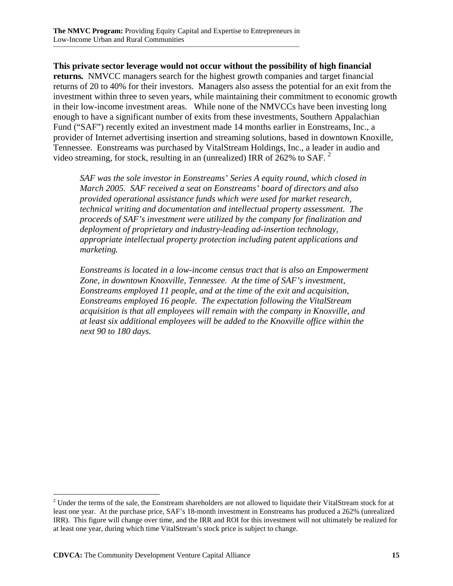**This private sector leverage would not occur without the possibility of high financial returns***.* NMVCC managers search for the highest growth companies and target financial returns of 20 to 40% for their investors. Managers also assess the potential for an exit from the investment within three to seven years, while maintaining their commitment to economic growth in their low-income investment areas. While none of the NMVCCs have been investing long enough to have a significant number of exits from these investments, Southern Appalachian Fund ("SAF") recently exited an investment made 14 months earlier in Eonstreams, Inc., a provider of Internet advertising insertion and streaming solutions, based in downtown Knoxille, Tennessee. Eonstreams was purchased by VitalStream Holdings, Inc., a leader in audio and video streaming, for stock, resulting in an (unrealized) IRR of  $262\%$  to SAF.  $^2$ 

*SAF was the sole investor in Eonstreams' Series A equity round, which closed in March 2005. SAF received a seat on Eonstreams' board of directors and also provided operational assistance funds which were used for market research, technical writing and documentation and intellectual property assessment. The proceeds of SAF's investment were utilized by the company for finalization and deployment of proprietary and industry-leading ad-insertion technology, appropriate intellectual property protection including patent applications and marketing.* 

*Eonstreams is located in a low-income census tract that is also an Empowerment Zone, in downtown Knoxville, Tennessee. At the time of SAF's investment, Eonstreams employed 11 people, and at the time of the exit and acquisition, Eonstreams employed 16 people. The expectation following the VitalStream acquisition is that all employees will remain with the company in Knoxville, and at least six additional employees will be added to the Knoxville office within the next 90 to 180 days.* 

 $\overline{a}$ 

 $2<sup>2</sup>$  Under the terms of the sale, the Eonstream shareholders are not allowed to liquidate their VitalStream stock for at least one year. At the purchase price, SAF's 18-month investment in Eonstreams has produced a 262% (unrealized IRR). This figure will change over time, and the IRR and ROI for this investment will not ultimately be realized for at least one year, during which time VitalStream's stock price is subject to change.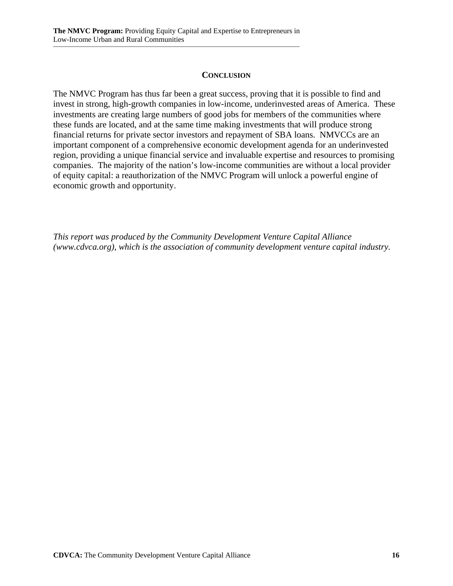#### **CONCLUSION**

The NMVC Program has thus far been a great success, proving that it is possible to find and invest in strong, high-growth companies in low-income, underinvested areas of America. These investments are creating large numbers of good jobs for members of the communities where these funds are located, and at the same time making investments that will produce strong financial returns for private sector investors and repayment of SBA loans. NMVCCs are an important component of a comprehensive economic development agenda for an underinvested region, providing a unique financial service and invaluable expertise and resources to promising companies. The majority of the nation's low-income communities are without a local provider of equity capital: a reauthorization of the NMVC Program will unlock a powerful engine of economic growth and opportunity.

*This report was produced by the Community Development Venture Capital Alliance (www.cdvca.org), which is the association of community development venture capital industry.*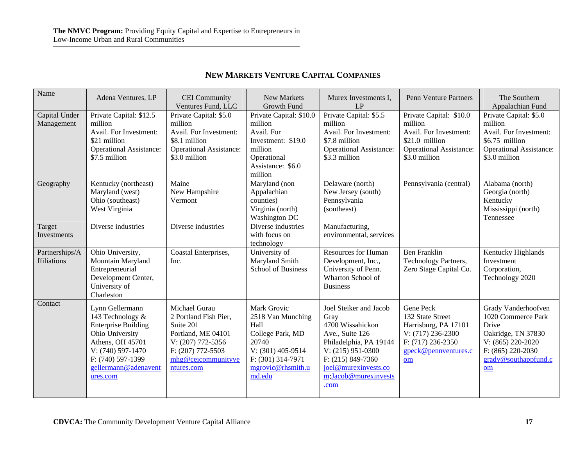|  |  | <b>NEW MARKETS VENTURE CAPITAL COMPANIES</b> |
|--|--|----------------------------------------------|
|--|--|----------------------------------------------|

| Name                          | Adena Ventures, LP                                                                                                                                                                     | <b>CEI</b> Community<br>Ventures Fund, LLC                                                                                                              | New Markets<br>Growth Fund                                                                                                                       | Murex Investments I,<br>LP                                                                                                                                                                            | <b>Penn Venture Partners</b>                                                                                                      | The Southern<br>Appalachian Fund                                                                                                                        |
|-------------------------------|----------------------------------------------------------------------------------------------------------------------------------------------------------------------------------------|---------------------------------------------------------------------------------------------------------------------------------------------------------|--------------------------------------------------------------------------------------------------------------------------------------------------|-------------------------------------------------------------------------------------------------------------------------------------------------------------------------------------------------------|-----------------------------------------------------------------------------------------------------------------------------------|---------------------------------------------------------------------------------------------------------------------------------------------------------|
| Capital Under<br>Management   | Private Capital: \$12.5<br>million<br>Avail. For Investment:<br>\$21 million<br><b>Operational Assistance:</b><br>\$7.5 million                                                        | Private Capital: \$5.0<br>million<br>Avail. For Investment:<br>\$8.1 million<br><b>Operational Assistance:</b><br>\$3.0 million                         | Private Capital: \$10.0<br>million<br>Avail. For<br>Investment: \$19.0<br>million<br>Operational<br>Assistance: \$6.0<br>million                 | Private Capital: \$5.5<br>million<br>Avail. For Investment:<br>\$7.8 million<br><b>Operational Assistance:</b><br>\$3.3 million                                                                       | Private Capital: \$10.0<br>million<br>Avail. For Investment:<br>\$21.0 million<br><b>Operational Assistance:</b><br>\$3.0 million | Private Capital: \$5.0<br>million<br>Avail. For Investment:<br>\$6.75 million<br><b>Operational Assistance:</b><br>\$3.0 million                        |
| Geography                     | Kentucky (northeast)<br>Maryland (west)<br>Ohio (southeast)<br>West Virginia                                                                                                           | Maine<br>New Hampshire<br>Vermont                                                                                                                       | Maryland (non<br>Appalachian<br>counties)<br>Virginia (north)<br>Washington DC                                                                   | Delaware (north)<br>New Jersey (south)<br>Pennsylvania<br>(southeast)                                                                                                                                 | Pennsylvania (central)                                                                                                            | Alabama (north)<br>Georgia (north)<br>Kentucky<br>Mississippi (north)<br>Tennessee                                                                      |
| Target<br>Investments         | Diverse industries                                                                                                                                                                     | Diverse industries                                                                                                                                      | Diverse industries<br>with focus on<br>technology                                                                                                | Manufacturing,<br>environmental, services                                                                                                                                                             |                                                                                                                                   |                                                                                                                                                         |
| Partnerships/A<br>ffiliations | Ohio University,<br>Mountain Maryland<br>Entrepreneurial<br>Development Center,<br>University of<br>Charleston                                                                         | Coastal Enterprises,<br>Inc.                                                                                                                            | University of<br>Maryland Smith<br><b>School of Business</b>                                                                                     | <b>Resources for Human</b><br>Development, Inc.,<br>University of Penn.<br>Wharton School of<br><b>Business</b>                                                                                       | <b>Ben Franklin</b><br>Technology Partners,<br>Zero Stage Capital Co.                                                             | Kentucky Highlands<br>Investment<br>Corporation,<br>Technology 2020                                                                                     |
| Contact                       | Lynn Gellermann<br>143 Technology &<br><b>Enterprise Building</b><br>Ohio University<br>Athens, OH 45701<br>V: (740) 597-1470<br>F: (740) 597-1399<br>gellermann@adenavent<br>ures.com | Michael Gurau<br>2 Portland Fish Pier,<br>Suite 201<br>Portland, ME 04101<br>V: (207) 772-5356<br>F: (207) 772-5503<br>mhg@ceicommunityve<br>ntures.com | Mark Grovic<br>2518 Van Munching<br>Hall<br>College Park, MD<br>20740<br>$V: (301)$ 405-9514<br>F: (301) 314-7971<br>mgrovic@rhsmith.u<br>md.edu | Joel Steiker and Jacob<br>Gray<br>4700 Wissahickon<br>Ave., Suite 126<br>Philadelphia, PA 19144<br>$V: (215)$ 951-0300<br>$F: (215) 849-7360$<br>joel@murexinvests.co<br>m;Jacob@murexinvests<br>.com | Gene Peck<br>132 State Street<br>Harrisburg, PA 17101<br>V: (717) 236-2300<br>$F: (717) 236-2350$<br>gpeck@pennventures.c<br>om   | Grady Vanderhoofven<br>1020 Commerce Park<br>Drive<br>Oakridge, TN 37830<br>V: (865) 220-2020<br>$F: (865) 220-2030$<br>$grady@$ southappfund.c<br>$om$ |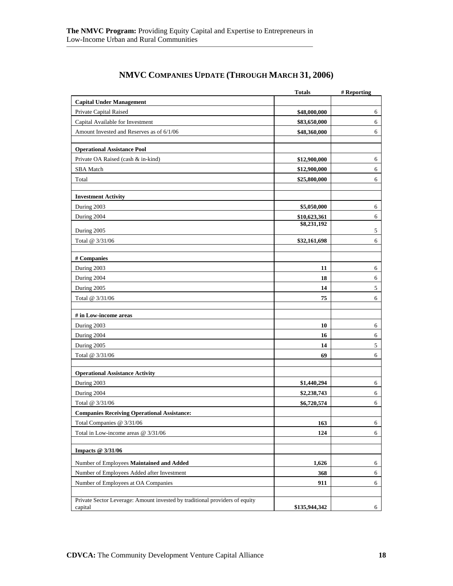| <b>Capital Under Management</b><br>Private Capital Raised<br>\$48,000,000<br>6<br>Capital Available for Investment<br>6<br>\$83,650,000<br>Amount Invested and Reserves as of 6/1/06<br>\$48,360,000<br>6<br><b>Operational Assistance Pool</b><br>Private OA Raised (cash & in-kind)<br>\$12,900,000<br>6<br><b>SBA</b> Match<br>6<br>\$12,900,000<br>Total<br>6<br>\$25,800,000<br><b>Investment Activity</b><br>During 2003<br>\$5,050,000<br>6<br>During 2004<br>\$10,623,361<br>6<br>\$8,231,192<br>5<br>During 2005<br>6<br>Total @ 3/31/06<br>\$32,161,698<br># Companies<br>During 2003<br>6<br>11<br>During 2004<br>6<br>18<br>During 2005<br>$\mathfrak s$<br>14<br>Total @ 3/31/06<br>6<br>75<br># in Low-income areas<br>During 2003<br>10<br>6<br>During 2004<br>6<br>16<br>5<br>During 2005<br>14<br>6<br>Total @ 3/31/06<br>69<br><b>Operational Assistance Activity</b><br>During 2003<br>\$1,440,294<br>6<br>During 2004<br>\$2,238,743<br>6<br>Total @ 3/31/06<br>\$6,720,574<br>6<br><b>Companies Receiving Operational Assistance:</b><br>163<br>Total Companies @ 3/31/06<br>6<br>Total in Low-income areas $@3/31/06$<br>124<br>6<br>Impacts @ 3/31/06<br>1,626<br>Number of Employees Maintained and Added<br>6<br>Number of Employees Added after Investment<br>368<br>6<br>Number of Employees at OA Companies<br>911<br>6<br>Private Sector Leverage: Amount invested by traditional providers of equity<br>\$135,944,342<br>capital | <b>Totals</b> | # Reporting |
|----------------------------------------------------------------------------------------------------------------------------------------------------------------------------------------------------------------------------------------------------------------------------------------------------------------------------------------------------------------------------------------------------------------------------------------------------------------------------------------------------------------------------------------------------------------------------------------------------------------------------------------------------------------------------------------------------------------------------------------------------------------------------------------------------------------------------------------------------------------------------------------------------------------------------------------------------------------------------------------------------------------------------------------------------------------------------------------------------------------------------------------------------------------------------------------------------------------------------------------------------------------------------------------------------------------------------------------------------------------------------------------------------------------------------------------------------------------|---------------|-------------|
|                                                                                                                                                                                                                                                                                                                                                                                                                                                                                                                                                                                                                                                                                                                                                                                                                                                                                                                                                                                                                                                                                                                                                                                                                                                                                                                                                                                                                                                                |               |             |
|                                                                                                                                                                                                                                                                                                                                                                                                                                                                                                                                                                                                                                                                                                                                                                                                                                                                                                                                                                                                                                                                                                                                                                                                                                                                                                                                                                                                                                                                |               |             |
|                                                                                                                                                                                                                                                                                                                                                                                                                                                                                                                                                                                                                                                                                                                                                                                                                                                                                                                                                                                                                                                                                                                                                                                                                                                                                                                                                                                                                                                                |               |             |
|                                                                                                                                                                                                                                                                                                                                                                                                                                                                                                                                                                                                                                                                                                                                                                                                                                                                                                                                                                                                                                                                                                                                                                                                                                                                                                                                                                                                                                                                |               |             |
|                                                                                                                                                                                                                                                                                                                                                                                                                                                                                                                                                                                                                                                                                                                                                                                                                                                                                                                                                                                                                                                                                                                                                                                                                                                                                                                                                                                                                                                                |               |             |
|                                                                                                                                                                                                                                                                                                                                                                                                                                                                                                                                                                                                                                                                                                                                                                                                                                                                                                                                                                                                                                                                                                                                                                                                                                                                                                                                                                                                                                                                |               |             |
|                                                                                                                                                                                                                                                                                                                                                                                                                                                                                                                                                                                                                                                                                                                                                                                                                                                                                                                                                                                                                                                                                                                                                                                                                                                                                                                                                                                                                                                                |               |             |
|                                                                                                                                                                                                                                                                                                                                                                                                                                                                                                                                                                                                                                                                                                                                                                                                                                                                                                                                                                                                                                                                                                                                                                                                                                                                                                                                                                                                                                                                |               |             |
|                                                                                                                                                                                                                                                                                                                                                                                                                                                                                                                                                                                                                                                                                                                                                                                                                                                                                                                                                                                                                                                                                                                                                                                                                                                                                                                                                                                                                                                                |               |             |
|                                                                                                                                                                                                                                                                                                                                                                                                                                                                                                                                                                                                                                                                                                                                                                                                                                                                                                                                                                                                                                                                                                                                                                                                                                                                                                                                                                                                                                                                |               |             |
|                                                                                                                                                                                                                                                                                                                                                                                                                                                                                                                                                                                                                                                                                                                                                                                                                                                                                                                                                                                                                                                                                                                                                                                                                                                                                                                                                                                                                                                                |               |             |
|                                                                                                                                                                                                                                                                                                                                                                                                                                                                                                                                                                                                                                                                                                                                                                                                                                                                                                                                                                                                                                                                                                                                                                                                                                                                                                                                                                                                                                                                |               |             |
|                                                                                                                                                                                                                                                                                                                                                                                                                                                                                                                                                                                                                                                                                                                                                                                                                                                                                                                                                                                                                                                                                                                                                                                                                                                                                                                                                                                                                                                                |               |             |
|                                                                                                                                                                                                                                                                                                                                                                                                                                                                                                                                                                                                                                                                                                                                                                                                                                                                                                                                                                                                                                                                                                                                                                                                                                                                                                                                                                                                                                                                |               |             |
|                                                                                                                                                                                                                                                                                                                                                                                                                                                                                                                                                                                                                                                                                                                                                                                                                                                                                                                                                                                                                                                                                                                                                                                                                                                                                                                                                                                                                                                                |               |             |
|                                                                                                                                                                                                                                                                                                                                                                                                                                                                                                                                                                                                                                                                                                                                                                                                                                                                                                                                                                                                                                                                                                                                                                                                                                                                                                                                                                                                                                                                |               |             |
|                                                                                                                                                                                                                                                                                                                                                                                                                                                                                                                                                                                                                                                                                                                                                                                                                                                                                                                                                                                                                                                                                                                                                                                                                                                                                                                                                                                                                                                                |               |             |
|                                                                                                                                                                                                                                                                                                                                                                                                                                                                                                                                                                                                                                                                                                                                                                                                                                                                                                                                                                                                                                                                                                                                                                                                                                                                                                                                                                                                                                                                |               |             |
|                                                                                                                                                                                                                                                                                                                                                                                                                                                                                                                                                                                                                                                                                                                                                                                                                                                                                                                                                                                                                                                                                                                                                                                                                                                                                                                                                                                                                                                                |               |             |
|                                                                                                                                                                                                                                                                                                                                                                                                                                                                                                                                                                                                                                                                                                                                                                                                                                                                                                                                                                                                                                                                                                                                                                                                                                                                                                                                                                                                                                                                |               |             |
|                                                                                                                                                                                                                                                                                                                                                                                                                                                                                                                                                                                                                                                                                                                                                                                                                                                                                                                                                                                                                                                                                                                                                                                                                                                                                                                                                                                                                                                                |               |             |
|                                                                                                                                                                                                                                                                                                                                                                                                                                                                                                                                                                                                                                                                                                                                                                                                                                                                                                                                                                                                                                                                                                                                                                                                                                                                                                                                                                                                                                                                |               |             |
|                                                                                                                                                                                                                                                                                                                                                                                                                                                                                                                                                                                                                                                                                                                                                                                                                                                                                                                                                                                                                                                                                                                                                                                                                                                                                                                                                                                                                                                                |               |             |
|                                                                                                                                                                                                                                                                                                                                                                                                                                                                                                                                                                                                                                                                                                                                                                                                                                                                                                                                                                                                                                                                                                                                                                                                                                                                                                                                                                                                                                                                |               |             |
|                                                                                                                                                                                                                                                                                                                                                                                                                                                                                                                                                                                                                                                                                                                                                                                                                                                                                                                                                                                                                                                                                                                                                                                                                                                                                                                                                                                                                                                                |               |             |
|                                                                                                                                                                                                                                                                                                                                                                                                                                                                                                                                                                                                                                                                                                                                                                                                                                                                                                                                                                                                                                                                                                                                                                                                                                                                                                                                                                                                                                                                |               |             |
|                                                                                                                                                                                                                                                                                                                                                                                                                                                                                                                                                                                                                                                                                                                                                                                                                                                                                                                                                                                                                                                                                                                                                                                                                                                                                                                                                                                                                                                                |               |             |
|                                                                                                                                                                                                                                                                                                                                                                                                                                                                                                                                                                                                                                                                                                                                                                                                                                                                                                                                                                                                                                                                                                                                                                                                                                                                                                                                                                                                                                                                |               |             |
|                                                                                                                                                                                                                                                                                                                                                                                                                                                                                                                                                                                                                                                                                                                                                                                                                                                                                                                                                                                                                                                                                                                                                                                                                                                                                                                                                                                                                                                                |               |             |
|                                                                                                                                                                                                                                                                                                                                                                                                                                                                                                                                                                                                                                                                                                                                                                                                                                                                                                                                                                                                                                                                                                                                                                                                                                                                                                                                                                                                                                                                |               |             |
|                                                                                                                                                                                                                                                                                                                                                                                                                                                                                                                                                                                                                                                                                                                                                                                                                                                                                                                                                                                                                                                                                                                                                                                                                                                                                                                                                                                                                                                                |               |             |
|                                                                                                                                                                                                                                                                                                                                                                                                                                                                                                                                                                                                                                                                                                                                                                                                                                                                                                                                                                                                                                                                                                                                                                                                                                                                                                                                                                                                                                                                |               |             |
|                                                                                                                                                                                                                                                                                                                                                                                                                                                                                                                                                                                                                                                                                                                                                                                                                                                                                                                                                                                                                                                                                                                                                                                                                                                                                                                                                                                                                                                                |               |             |
|                                                                                                                                                                                                                                                                                                                                                                                                                                                                                                                                                                                                                                                                                                                                                                                                                                                                                                                                                                                                                                                                                                                                                                                                                                                                                                                                                                                                                                                                |               |             |
|                                                                                                                                                                                                                                                                                                                                                                                                                                                                                                                                                                                                                                                                                                                                                                                                                                                                                                                                                                                                                                                                                                                                                                                                                                                                                                                                                                                                                                                                |               |             |
|                                                                                                                                                                                                                                                                                                                                                                                                                                                                                                                                                                                                                                                                                                                                                                                                                                                                                                                                                                                                                                                                                                                                                                                                                                                                                                                                                                                                                                                                |               |             |
|                                                                                                                                                                                                                                                                                                                                                                                                                                                                                                                                                                                                                                                                                                                                                                                                                                                                                                                                                                                                                                                                                                                                                                                                                                                                                                                                                                                                                                                                |               | 6           |

### **NMVC COMPANIES UPDATE (THROUGH MARCH 31, 2006)**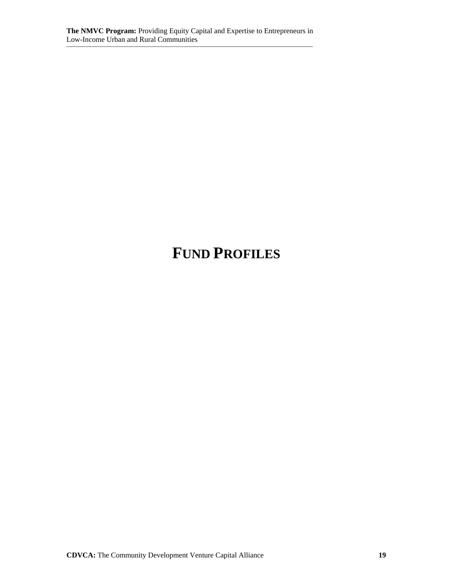# **FUND PROFILES**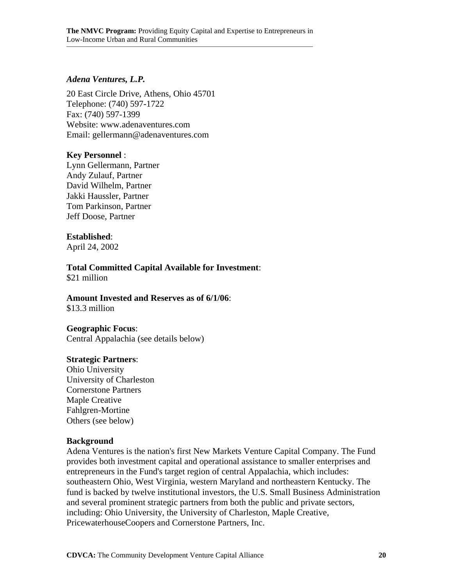#### *Adena Ventures, L.P.*

20 East Circle Drive, Athens, Ohio 45701 Telephone: (740) 597-1722 Fax: (740) 597-1399 Website: www.adenaventures.com Email: gellermann@adenaventures.com

#### **Key Personnel** :

Lynn Gellermann, Partner Andy Zulauf, Partner David Wilhelm, Partner Jakki Haussler, Partner Tom Parkinson, Partner Jeff Doose, Partner

#### **Established**:

April 24, 2002

# **Total Committed Capital Available for Investment**:

\$21 million

#### **Amount Invested and Reserves as of 6/1/06**:

\$13.3 million

#### **Geographic Focus**:

Central Appalachia (see details below)

#### **Strategic Partners**:

Ohio University University of Charleston Cornerstone Partners Maple Creative Fahlgren-Mortine Others (see below)

#### **Background**

Adena Ventures is the nation's first New Markets Venture Capital Company. The Fund provides both investment capital and operational assistance to smaller enterprises and entrepreneurs in the Fund's target region of central Appalachia, which includes: southeastern Ohio, West Virginia, western Maryland and northeastern Kentucky. The fund is backed by twelve institutional investors, the U.S. Small Business Administration and several prominent strategic partners from both the public and private sectors, including: Ohio University, the University of Charleston, Maple Creative, PricewaterhouseCoopers and Cornerstone Partners, Inc.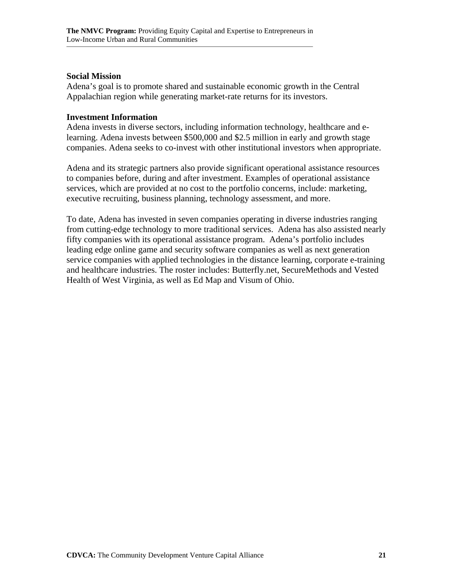#### **Social Mission**

Adena's goal is to promote shared and sustainable economic growth in the Central Appalachian region while generating market-rate returns for its investors.

#### **Investment Information**

Adena invests in diverse sectors, including information technology, healthcare and elearning. Adena invests between \$500,000 and \$2.5 million in early and growth stage companies. Adena seeks to co-invest with other institutional investors when appropriate.

Adena and its strategic partners also provide significant operational assistance resources to companies before, during and after investment. Examples of operational assistance services, which are provided at no cost to the portfolio concerns, include: marketing, executive recruiting, business planning, technology assessment, and more.

To date, Adena has invested in seven companies operating in diverse industries ranging from cutting-edge technology to more traditional services. Adena has also assisted nearly fifty companies with its operational assistance program. Adena's portfolio includes leading edge online game and security software companies as well as next generation service companies with applied technologies in the distance learning, corporate e-training and healthcare industries. The roster includes: Butterfly.net, SecureMethods and Vested Health of West Virginia, as well as Ed Map and Visum of Ohio.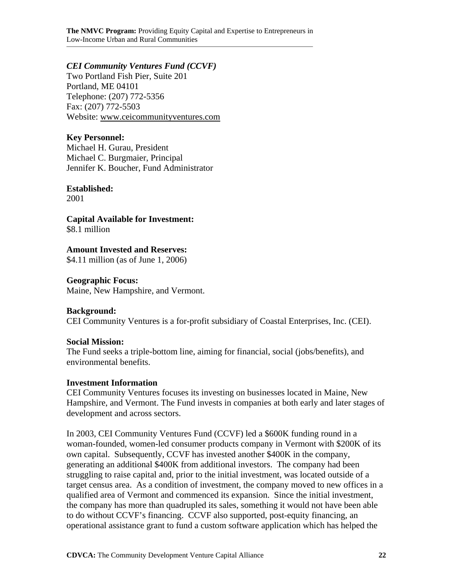**The NMVC Program:** Providing Equity Capital and Expertise to Entrepreneurs in Low-Income Urban and Rural Communities

#### *CEI Community Ventures Fund (CCVF)*

Two Portland Fish Pier, Suite 201 Portland, ME 04101 Telephone: (207) 772-5356 Fax: (207) 772-5503 Website: www.ceicommunityventures.com

#### **Key Personnel:**

Michael H. Gurau, President Michael C. Burgmaier, Principal Jennifer K. Boucher, Fund Administrator

#### **Established:**

2001

**Capital Available for Investment:**  \$8.1 million

**Amount Invested and Reserves:** 

\$4.11 million (as of June 1, 2006)

#### **Geographic Focus:**

Maine, New Hampshire, and Vermont.

#### **Background:**

CEI Community Ventures is a for-profit subsidiary of Coastal Enterprises, Inc. (CEI).

#### **Social Mission:**

The Fund seeks a triple-bottom line, aiming for financial, social (jobs/benefits), and environmental benefits.

#### **Investment Information**

CEI Community Ventures focuses its investing on businesses located in Maine, New Hampshire, and Vermont. The Fund invests in companies at both early and later stages of development and across sectors.

In 2003, CEI Community Ventures Fund (CCVF) led a \$600K funding round in a woman-founded, women-led consumer products company in Vermont with \$200K of its own capital. Subsequently, CCVF has invested another \$400K in the company, generating an additional \$400K from additional investors. The company had been struggling to raise capital and, prior to the initial investment, was located outside of a target census area. As a condition of investment, the company moved to new offices in a qualified area of Vermont and commenced its expansion. Since the initial investment, the company has more than quadrupled its sales, something it would not have been able to do without CCVF's financing. CCVF also supported, post-equity financing, an operational assistance grant to fund a custom software application which has helped the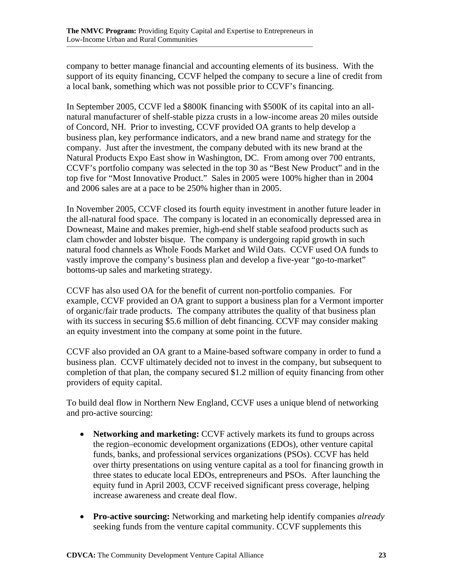company to better manage financial and accounting elements of its business. With the support of its equity financing, CCVF helped the company to secure a line of credit from a local bank, something which was not possible prior to CCVF's financing.

In September 2005, CCVF led a \$800K financing with \$500K of its capital into an allnatural manufacturer of shelf-stable pizza crusts in a low-income areas 20 miles outside of Concord, NH. Prior to investing, CCVF provided OA grants to help develop a business plan, key performance indicators, and a new brand name and strategy for the company. Just after the investment, the company debuted with its new brand at the Natural Products Expo East show in Washington, DC. From among over 700 entrants, CCVF's portfolio company was selected in the top 30 as "Best New Product" and in the top five for "Most Innovative Product." Sales in 2005 were 100% higher than in 2004 and 2006 sales are at a pace to be 250% higher than in 2005.

In November 2005, CCVF closed its fourth equity investment in another future leader in the all-natural food space. The company is located in an economically depressed area in Downeast, Maine and makes premier, high-end shelf stable seafood products such as clam chowder and lobster bisque. The company is undergoing rapid growth in such natural food channels as Whole Foods Market and Wild Oats. CCVF used OA funds to vastly improve the company's business plan and develop a five-year "go-to-market" bottoms-up sales and marketing strategy.

CCVF has also used OA for the benefit of current non-portfolio companies. For example, CCVF provided an OA grant to support a business plan for a Vermont importer of organic/fair trade products. The company attributes the quality of that business plan with its success in securing \$5.6 million of debt financing. CCVF may consider making an equity investment into the company at some point in the future.

CCVF also provided an OA grant to a Maine-based software company in order to fund a business plan. CCVF ultimately decided not to invest in the company, but subsequent to completion of that plan, the company secured \$1.2 million of equity financing from other providers of equity capital.

To build deal flow in Northern New England, CCVF uses a unique blend of networking and pro-active sourcing:

- **Networking and marketing:** CCVF actively markets its fund to groups across the region–economic development organizations (EDOs), other venture capital funds, banks, and professional services organizations (PSOs). CCVF has held over thirty presentations on using venture capital as a tool for financing growth in three states to educate local EDOs, entrepreneurs and PSOs. After launching the equity fund in April 2003, CCVF received significant press coverage, helping increase awareness and create deal flow.
- **Pro-active sourcing:** Networking and marketing help identify companies *already* seeking funds from the venture capital community. CCVF supplements this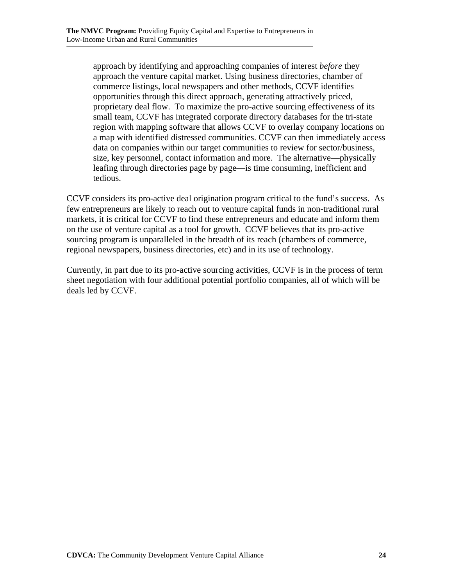approach by identifying and approaching companies of interest *before* they approach the venture capital market. Using business directories, chamber of commerce listings, local newspapers and other methods, CCVF identifies opportunities through this direct approach, generating attractively priced, proprietary deal flow. To maximize the pro-active sourcing effectiveness of its small team, CCVF has integrated corporate directory databases for the tri-state region with mapping software that allows CCVF to overlay company locations on a map with identified distressed communities. CCVF can then immediately access data on companies within our target communities to review for sector/business, size, key personnel, contact information and more. The alternative—physically leafing through directories page by page—is time consuming, inefficient and tedious.

CCVF considers its pro-active deal origination program critical to the fund's success. As few entrepreneurs are likely to reach out to venture capital funds in non-traditional rural markets, it is critical for CCVF to find these entrepreneurs and educate and inform them on the use of venture capital as a tool for growth. CCVF believes that its pro-active sourcing program is unparalleled in the breadth of its reach (chambers of commerce, regional newspapers, business directories, etc) and in its use of technology.

Currently, in part due to its pro-active sourcing activities, CCVF is in the process of term sheet negotiation with four additional potential portfolio companies, all of which will be deals led by CCVF.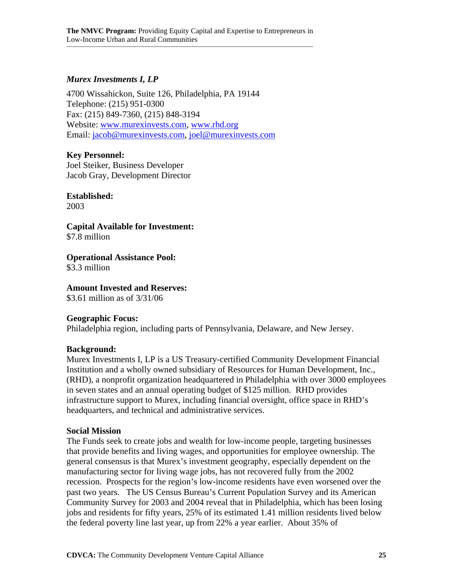#### *Murex Investments I, LP*

4700 Wissahickon, Suite 126, Philadelphia, PA 19144 Telephone: (215) 951-0300 Fax: (215) 849-7360, (215) 848-3194 Website: www.murexinvests.com, www.rhd.org Email: jacob@murexinvests.com, joel@murexinvests.com

#### **Key Personnel:**

Joel Steiker, Business Developer Jacob Gray, Development Director

#### **Established:**

2003

**Capital Available for Investment:**  \$7.8 million

**Operational Assistance Pool:** 

\$3.3 million

#### **Amount Invested and Reserves:**

\$3.61 million as of 3/31/06

#### **Geographic Focus:**

Philadelphia region, including parts of Pennsylvania, Delaware, and New Jersey.

#### **Background:**

Murex Investments I, LP is a US Treasury-certified Community Development Financial Institution and a wholly owned subsidiary of Resources for Human Development, Inc., (RHD), a nonprofit organization headquartered in Philadelphia with over 3000 employees in seven states and an annual operating budget of \$125 million. RHD provides infrastructure support to Murex, including financial oversight, office space in RHD's headquarters, and technical and administrative services.

#### **Social Mission**

The Funds seek to create jobs and wealth for low-income people, targeting businesses that provide benefits and living wages, and opportunities for employee ownership. The general consensus is that Murex's investment geography, especially dependent on the manufacturing sector for living wage jobs, has not recovered fully from the 2002 recession. Prospects for the region's low-income residents have even worsened over the past two years. The US Census Bureau's Current Population Survey and its American Community Survey for 2003 and 2004 reveal that in Philadelphia, which has been losing jobs and residents for fifty years, 25% of its estimated 1.41 million residents lived below the federal poverty line last year, up from 22% a year earlier. About 35% of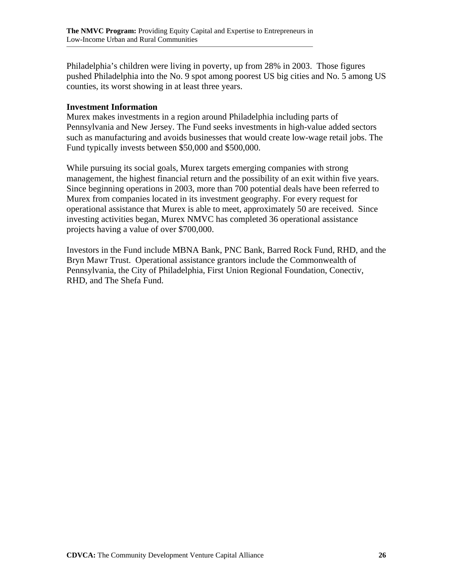Philadelphia's children were living in poverty, up from 28% in 2003. Those figures pushed Philadelphia into the No. 9 spot among poorest US big cities and No. 5 among US counties, its worst showing in at least three years.

#### **Investment Information**

Murex makes investments in a region around Philadelphia including parts of Pennsylvania and New Jersey. The Fund seeks investments in high-value added sectors such as manufacturing and avoids businesses that would create low-wage retail jobs. The Fund typically invests between \$50,000 and \$500,000.

While pursuing its social goals, Murex targets emerging companies with strong management, the highest financial return and the possibility of an exit within five years. Since beginning operations in 2003, more than 700 potential deals have been referred to Murex from companies located in its investment geography. For every request for operational assistance that Murex is able to meet, approximately 50 are received. Since investing activities began, Murex NMVC has completed 36 operational assistance projects having a value of over \$700,000.

Investors in the Fund include MBNA Bank, PNC Bank, Barred Rock Fund, RHD, and the Bryn Mawr Trust. Operational assistance grantors include the Commonwealth of Pennsylvania, the City of Philadelphia, First Union Regional Foundation, Conectiv, RHD, and The Shefa Fund.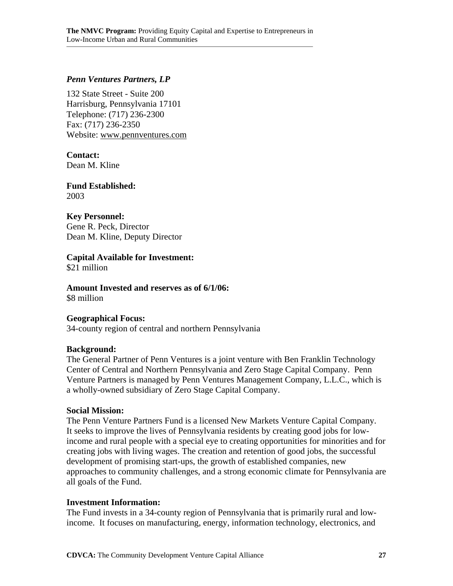#### *Penn Ventures Partners, LP*

132 State Street - Suite 200 Harrisburg, Pennsylvania 17101 Telephone: (717) 236-2300 Fax: (717) 236-2350 Website: www.pennventures.com

#### **Contact:**

Dean M. Kline

#### **Fund Established:**  2003

#### **Key Personnel:**

Gene R. Peck, Director Dean M. Kline, Deputy Director

#### **Capital Available for Investment:**

\$21 million

**Amount Invested and reserves as of 6/1/06:**  \$8 million

## **Geographical Focus:**

34-county region of central and northern Pennsylvania

#### **Background:**

The General Partner of Penn Ventures is a joint venture with Ben Franklin Technology Center of Central and Northern Pennsylvania and Zero Stage Capital Company. Penn Venture Partners is managed by Penn Ventures Management Company, L.L.C., which is a wholly-owned subsidiary of Zero Stage Capital Company.

#### **Social Mission:**

The Penn Venture Partners Fund is a licensed New Markets Venture Capital Company. It seeks to improve the lives of Pennsylvania residents by creating good jobs for lowincome and rural people with a special eye to creating opportunities for minorities and for creating jobs with living wages. The creation and retention of good jobs, the successful development of promising start-ups, the growth of established companies, new approaches to community challenges, and a strong economic climate for Pennsylvania are all goals of the Fund.

#### **Investment Information:**

The Fund invests in a 34-county region of Pennsylvania that is primarily rural and lowincome. It focuses on manufacturing, energy, information technology, electronics, and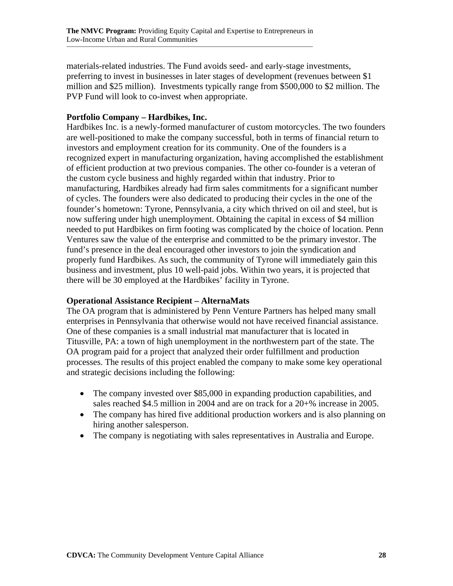materials-related industries. The Fund avoids seed- and early-stage investments, preferring to invest in businesses in later stages of development (revenues between \$1 million and \$25 million). Investments typically range from \$500,000 to \$2 million. The PVP Fund will look to co-invest when appropriate.

#### **Portfolio Company – Hardbikes, Inc.**

Hardbikes Inc. is a newly-formed manufacturer of custom motorcycles. The two founders are well-positioned to make the company successful, both in terms of financial return to investors and employment creation for its community. One of the founders is a recognized expert in manufacturing organization, having accomplished the establishment of efficient production at two previous companies. The other co-founder is a veteran of the custom cycle business and highly regarded within that industry. Prior to manufacturing, Hardbikes already had firm sales commitments for a significant number of cycles. The founders were also dedicated to producing their cycles in the one of the founder's hometown: Tyrone, Pennsylvania, a city which thrived on oil and steel, but is now suffering under high unemployment. Obtaining the capital in excess of \$4 million needed to put Hardbikes on firm footing was complicated by the choice of location. Penn Ventures saw the value of the enterprise and committed to be the primary investor. The fund's presence in the deal encouraged other investors to join the syndication and properly fund Hardbikes. As such, the community of Tyrone will immediately gain this business and investment, plus 10 well-paid jobs. Within two years, it is projected that there will be 30 employed at the Hardbikes' facility in Tyrone.

#### **Operational Assistance Recipient – AlternaMats**

The OA program that is administered by Penn Venture Partners has helped many small enterprises in Pennsylvania that otherwise would not have received financial assistance. One of these companies is a small industrial mat manufacturer that is located in Titusville, PA: a town of high unemployment in the northwestern part of the state. The OA program paid for a project that analyzed their order fulfillment and production processes. The results of this project enabled the company to make some key operational and strategic decisions including the following:

- The company invested over \$85,000 in expanding production capabilities, and sales reached \$4.5 million in 2004 and are on track for a 20+% increase in 2005.
- The company has hired five additional production workers and is also planning on hiring another salesperson.
- The company is negotiating with sales representatives in Australia and Europe.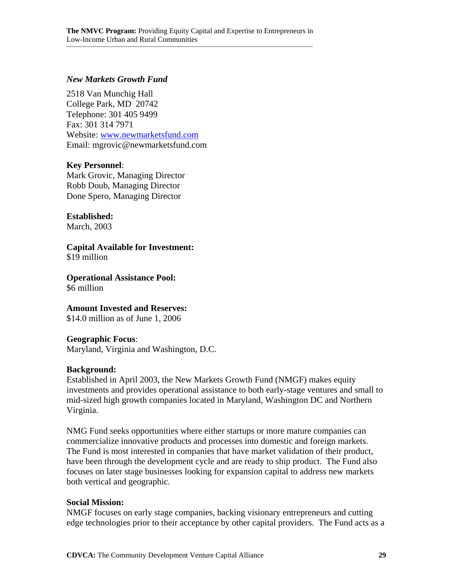#### *New Markets Growth Fund*

2518 Van Munchig Hall College Park, MD 20742 Telephone: 301 405 9499 Fax: 301 314 7971 Website: www.newmarketsfund.com Email: mgrovic@newmarketsfund.com

#### **Key Personnel**:

Mark Grovic, Managing Director Robb Doub, Managing Director Done Spero, Managing Director

#### **Established:**

March, 2003

**Capital Available for Investment:** \$19 million

**Operational Assistance Pool:** \$6 million

**Amount Invested and Reserves:**

\$14.0 million as of June 1, 2006

#### **Geographic Focus**:

Maryland, Virginia and Washington, D.C.

#### **Background:**

Established in April 2003, the New Markets Growth Fund (NMGF) makes equity investments and provides operational assistance to both early-stage ventures and small to mid-sized high growth companies located in Maryland, Washington DC and Northern Virginia.

NMG Fund seeks opportunities where either startups or more mature companies can commercialize innovative products and processes into domestic and foreign markets. The Fund is most interested in companies that have market validation of their product, have been through the development cycle and are ready to ship product. The Fund also focuses on later stage businesses looking for expansion capital to address new markets both vertical and geographic.

#### **Social Mission:**

NMGF focuses on early stage companies, backing visionary entrepreneurs and cutting edge technologies prior to their acceptance by other capital providers. The Fund acts as a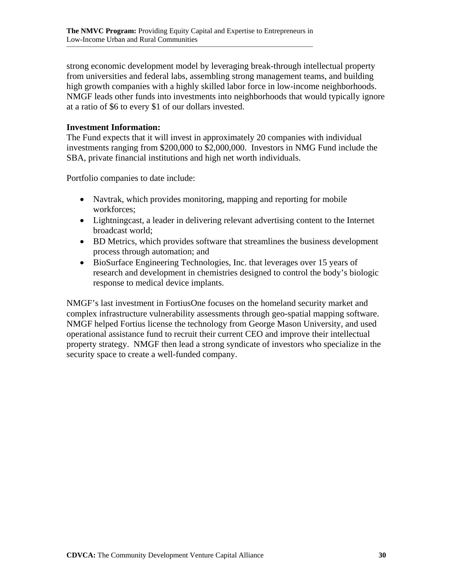strong economic development model by leveraging break-through intellectual property from universities and federal labs, assembling strong management teams, and building high growth companies with a highly skilled labor force in low-income neighborhoods. NMGF leads other funds into investments into neighborhoods that would typically ignore at a ratio of \$6 to every \$1 of our dollars invested.

#### **Investment Information:**

The Fund expects that it will invest in approximately 20 companies with individual investments ranging from \$200,000 to \$2,000,000. Investors in NMG Fund include the SBA, private financial institutions and high net worth individuals.

Portfolio companies to date include:

- Navtrak, which provides monitoring, mapping and reporting for mobile workforces;
- Lightningcast, a leader in delivering relevant advertising content to the Internet broadcast world;
- BD Metrics, which provides software that streamlines the business development process through automation; and
- BioSurface Engineering Technologies, Inc. that leverages over 15 years of research and development in chemistries designed to control the body's biologic response to medical device implants.

NMGF's last investment in FortiusOne focuses on the homeland security market and complex infrastructure vulnerability assessments through geo-spatial mapping software. NMGF helped Fortius license the technology from George Mason University, and used operational assistance fund to recruit their current CEO and improve their intellectual property strategy. NMGF then lead a strong syndicate of investors who specialize in the security space to create a well-funded company.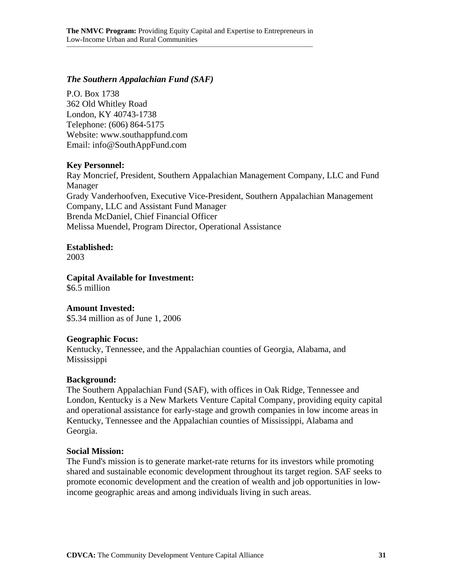#### *The Southern Appalachian Fund (SAF)*

P.O. Box 1738 362 Old Whitley Road London, KY 40743-1738 Telephone: (606) 864-5175 Website: www.southappfund.com Email: info@SouthAppFund.com

#### **Key Personnel:**

Ray Moncrief, President, Southern Appalachian Management Company, LLC and Fund Manager Grady Vanderhoofven, Executive Vice-President, Southern Appalachian Management Company, LLC and Assistant Fund Manager Brenda McDaniel, Chief Financial Officer Melissa Muendel, Program Director, Operational Assistance

#### **Established:**

2003

#### **Capital Available for Investment:**

\$6.5 million

#### **Amount Invested:**

\$5.34 million as of June 1, 2006

#### **Geographic Focus:**

Kentucky, Tennessee, and the Appalachian counties of Georgia, Alabama, and Mississippi

#### **Background:**

The Southern Appalachian Fund (SAF), with offices in Oak Ridge, Tennessee and London, Kentucky is a New Markets Venture Capital Company, providing equity capital and operational assistance for early-stage and growth companies in low income areas in Kentucky, Tennessee and the Appalachian counties of Mississippi, Alabama and Georgia.

#### **Social Mission:**

The Fund's mission is to generate market-rate returns for its investors while promoting shared and sustainable economic development throughout its target region. SAF seeks to promote economic development and the creation of wealth and job opportunities in lowincome geographic areas and among individuals living in such areas.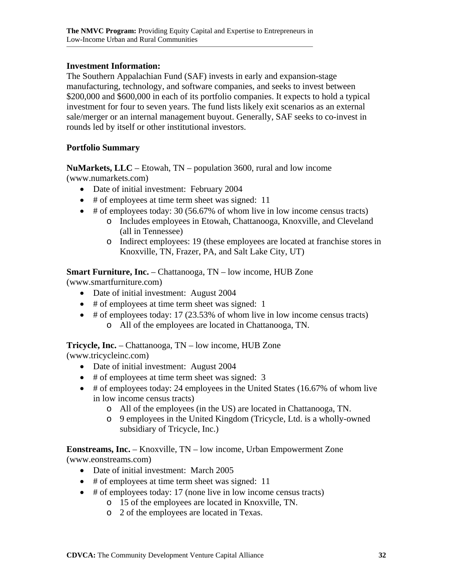#### **Investment Information:**

The Southern Appalachian Fund (SAF) invests in early and expansion-stage manufacturing, technology, and software companies, and seeks to invest between \$200,000 and \$600,000 in each of its portfolio companies. It expects to hold a typical investment for four to seven years. The fund lists likely exit scenarios as an external sale/merger or an internal management buyout. Generally, SAF seeks to co-invest in rounds led by itself or other institutional investors.

#### **Portfolio Summary**

**NuMarkets, LLC** – Etowah, TN – population 3600, rural and low income (www.numarkets.com)

- Date of initial investment: February 2004
- # of employees at time term sheet was signed: 11
- # of employees today: 30 (56.67% of whom live in low income census tracts)
	- o Includes employees in Etowah, Chattanooga, Knoxville, and Cleveland (all in Tennessee)
	- o Indirect employees: 19 (these employees are located at franchise stores in Knoxville, TN, Frazer, PA, and Salt Lake City, UT)

**Smart Furniture, Inc.** – Chattanooga, TN – low income, HUB Zone

(www.smartfurniture.com)

- Date of initial investment: August 2004
- # of employees at time term sheet was signed: 1
- # of employees today: 17 (23.53% of whom live in low income census tracts) o All of the employees are located in Chattanooga, TN.

**Tricycle, Inc.** – Chattanooga, TN – low income, HUB Zone

(www.tricycleinc.com)

- Date of initial investment: August 2004
- # of employees at time term sheet was signed: 3
- # of employees today: 24 employees in the United States (16.67% of whom live in low income census tracts)
	- o All of the employees (in the US) are located in Chattanooga, TN.
	- o 9 employees in the United Kingdom (Tricycle, Ltd. is a wholly-owned subsidiary of Tricycle, Inc.)

**Eonstreams, Inc.** – Knoxville, TN – low income, Urban Empowerment Zone (www.eonstreams.com)

- Date of initial investment: March 2005
- # of employees at time term sheet was signed: 11
- # of employees today: 17 (none live in low income census tracts)
	- o 15 of the employees are located in Knoxville, TN.
	- o 2 of the employees are located in Texas.